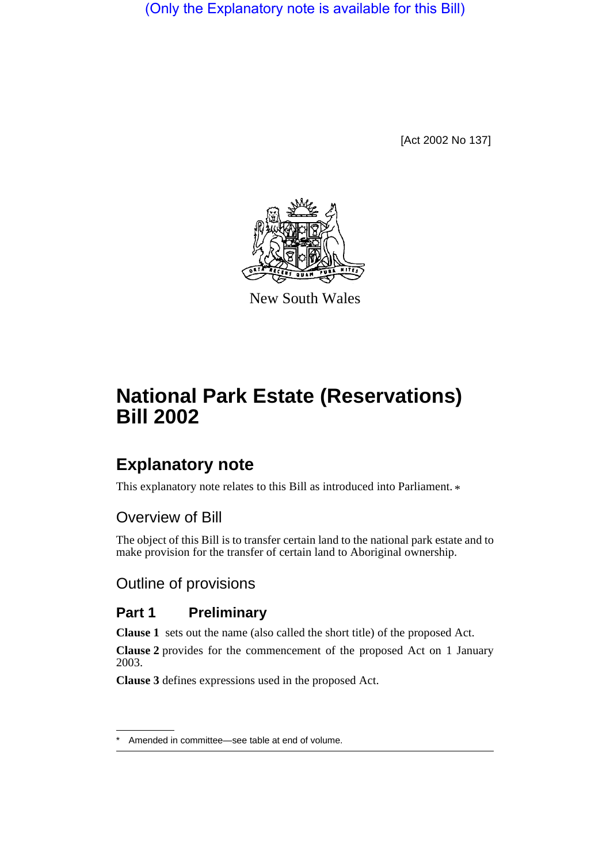(Only the Explanatory note is available for this Bill)

[Act 2002 No 137]



New South Wales

# **National Park Estate (Reservations) Bill 2002**

## **Explanatory note**

This explanatory note relates to this Bill as introduced into Parliament.  $*$ 

## Overview of Bill

The object of this Bill is to transfer certain land to the national park estate and to make provision for the transfer of certain land to Aboriginal ownership.

## Outline of provisions

## **Part 1 Preliminary**

**Clause 1** sets out the name (also called the short title) of the proposed Act.

**Clause 2** provides for the commencement of the proposed Act on 1 January 2003.

**Clause 3** defines expressions used in the proposed Act.

Amended in committee—see table at end of volume.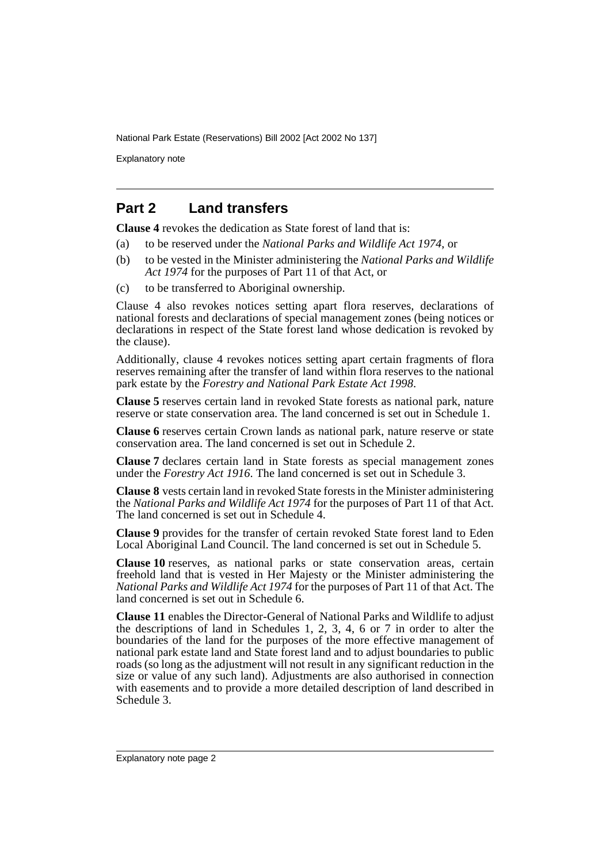National Park Estate (Reservations) Bill 2002 [Act 2002 No 137]

Explanatory note

#### **Part 2 Land transfers**

**Clause 4** revokes the dedication as State forest of land that is:

- (a) to be reserved under the *National Parks and Wildlife Act 1974*, or
- (b) to be vested in the Minister administering the *National Parks and Wildlife Act 1974* for the purposes of Part 11 of that Act, or
- (c) to be transferred to Aboriginal ownership.

Clause 4 also revokes notices setting apart flora reserves, declarations of national forests and declarations of special management zones (being notices or declarations in respect of the State forest land whose dedication is revoked by the clause).

Additionally, clause 4 revokes notices setting apart certain fragments of flora reserves remaining after the transfer of land within flora reserves to the national park estate by the *Forestry and National Park Estate Act 1998*.

**Clause 5** reserves certain land in revoked State forests as national park, nature reserve or state conservation area. The land concerned is set out in Schedule 1.

**Clause 6** reserves certain Crown lands as national park, nature reserve or state conservation area. The land concerned is set out in Schedule 2.

**Clause 7** declares certain land in State forests as special management zones under the *Forestry Act 1916*. The land concerned is set out in Schedule 3.

**Clause 8** vests certain land in revoked State forests in the Minister administering the *National Parks and Wildlife Act 1974* for the purposes of Part 11 of that Act. The land concerned is set out in Schedule 4.

**Clause 9** provides for the transfer of certain revoked State forest land to Eden Local Aboriginal Land Council. The land concerned is set out in Schedule 5.

**Clause 10** reserves, as national parks or state conservation areas, certain freehold land that is vested in Her Majesty or the Minister administering the *National Parks and Wildlife Act 1974* for the purposes of Part 11 of that Act. The land concerned is set out in Schedule 6.

**Clause 11** enables the Director-General of National Parks and Wildlife to adjust the descriptions of land in Schedules 1, 2, 3, 4, 6 or 7 in order to alter the boundaries of the land for the purposes of the more effective management of national park estate land and State forest land and to adjust boundaries to public roads (so long as the adjustment will not result in any significant reduction in the size or value of any such land). Adjustments are also authorised in connection with easements and to provide a more detailed description of land described in Schedule 3.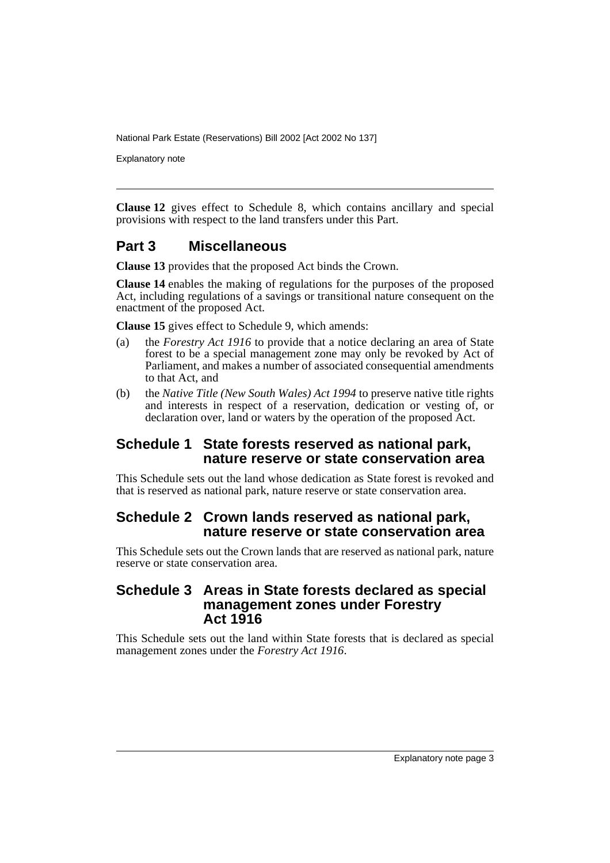National Park Estate (Reservations) Bill 2002 [Act 2002 No 137]

Explanatory note

**Clause 12** gives effect to Schedule 8, which contains ancillary and special provisions with respect to the land transfers under this Part.

#### **Part 3 Miscellaneous**

**Clause 13** provides that the proposed Act binds the Crown.

**Clause 14** enables the making of regulations for the purposes of the proposed Act, including regulations of a savings or transitional nature consequent on the enactment of the proposed Act.

**Clause 15** gives effect to Schedule 9, which amends:

- (a) the *Forestry Act 1916* to provide that a notice declaring an area of State forest to be a special management zone may only be revoked by Act of Parliament, and makes a number of associated consequential amendments to that Act, and
- (b) the *Native Title (New South Wales) Act 1994* to preserve native title rights and interests in respect of a reservation, dedication or vesting of, or declaration over, land or waters by the operation of the proposed Act.

#### **Schedule 1 State forests reserved as national park, nature reserve or state conservation area**

This Schedule sets out the land whose dedication as State forest is revoked and that is reserved as national park, nature reserve or state conservation area.

#### **Schedule 2 Crown lands reserved as national park, nature reserve or state conservation area**

This Schedule sets out the Crown lands that are reserved as national park, nature reserve or state conservation area.

#### **Schedule 3 Areas in State forests declared as special management zones under Forestry Act 1916**

This Schedule sets out the land within State forests that is declared as special management zones under the *Forestry Act 1916*.